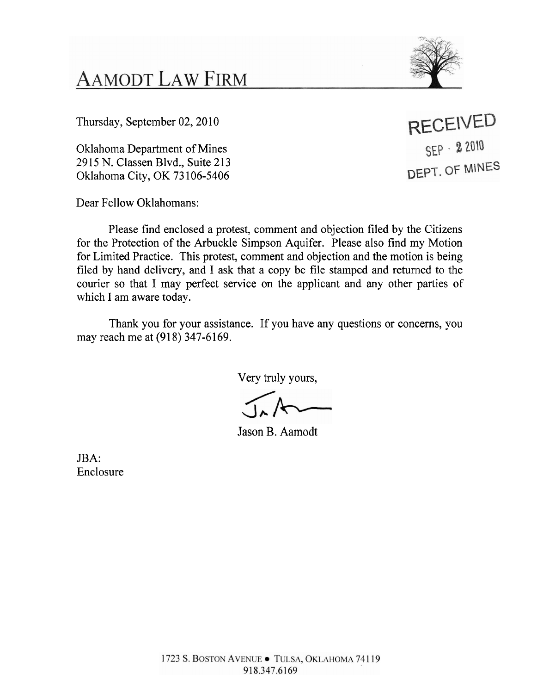**AAMODT LAW FIRM** 

Thursday, September 02, 2010

Oklahoma Department of Mines 2915 N. Classen Blvd., Suite 213 Oklahoma City, OK 73 106-5406

Dear Fellow Oklahomans:

Please find enclosed a protest, comment and objection filed by the Citizens for the Protection of the Arbuckle Simpson Aquifer. Please also find my Motion for Limited Practice. This protest, comment and objection and the motion is being filed by hand delivery, and I ask that a copy be file stamped and returned to the courier so that I may perfect service on the applicant and any other parties of which I am aware today.

Thank you for your assistance. If you have any questions or concerns, you may reach me at (918) 347-6169.

Very truly yours,

Jason B. Aamodt

JBA: Enclosure

**RECEIVED** SEP - 2 2010 DEPT. OF MINES

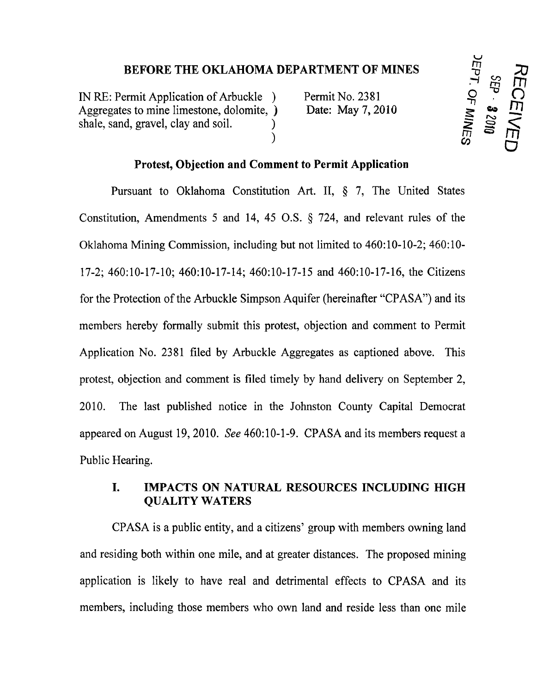**BEFORE THE OKLAHOMA DEPARTMENT OF MINES**<br>
ermit Application of Arbuckle ) Permit No. 2381 O<sub>T</sub><br>
es to mine limestone, dolomite, ) Date: May 7, 2010<br>
d, gravel, clay and soil. ) Date: May 7, 2010 IN RE: Permit Application of Arbuckle ) Permit No. 2381<br>Aggregates to mine limestone, dolomite, ) Date: May 7, 2010 Aggregates to mine limestone, dolomite, ) Aggregates to mine limestone, dolomite,  $\angle$  Date: May 7, 2010<br>shale, sand, gravel, clay and soil.  $\angle$ ) **~r,** *msm* 0

**b 30**  I% m

### **Protest, Objection and Comment to Permit Application**

Pursuant to Oklahoma Constitution Art. **11,** *5* 7, The United States Constitution, Amendments 5 and 14, 45 O.S. *5* 724, and relevant rules of the Oklahoma Mining Commission, including but not limited to 460: 10- 10-2; 460: 10- 17-2; 460:10-17-10; 460:10-17-14; 460:10-17-15 and 460:10-17-16, the Citizens for the Protection of the Arbuckle Simpson Aquifer (hereinafter "CPASA") and its members hereby formally submit this protest, objection and comment to Permit Application No. 2381 filed by Arbuckle Aggregates as captioned above. This protest, objection and comment is filed timely by hand delivery on September 2, 2010. The last published notice in the Johnston County Capital Democrat appeared on August 19,2010. *See* 460: 10-1-9. CPASA and its members request a Public Hearing.

# **I. IMPACTS ON NATURAL RESOURCES INCLUDING HIGH QUALITY WATERS**

CPASA is a public entity, and a citizens' group with members owning land and residing both within one mile, and at greater distances. The proposed mining application is likely to have real and detrimental effects to CPASA and its members, including those members who own land and reside less than one mile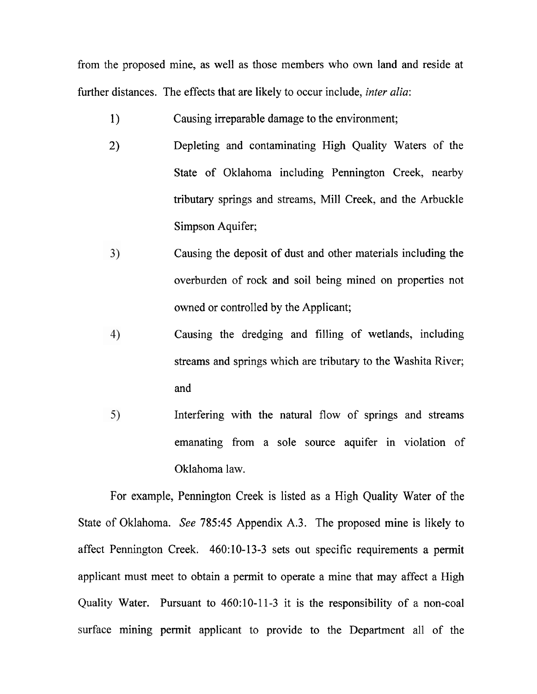from the proposed mine, as well as those members who own land and reside at further distances. The effects that are likely to occur include, *inter alia*:

- **1)** Causing irreparable damage to the environment;
- 2) Depleting and contaminating High Quality Waters of the State of Oklahoma including Pennington Creek, nearby tributary springs and streams, Mill Creek, and the Arbuckle Simpson Aquifer;
- $3)$ Causing the deposit of dust and other materials including the overburden of rock and soil being mined on properties not owned or controlled by the Applicant;
- 4) Causing the dredging and filling of wetlands, including streams and springs which are tributary to the Washita River; and
- $5)$ Interfering with the natural flow of springs and streams emanating from a sole source aquifer in violation of Oklahoma law.

For example, Pennington Creek is listed as a High Quality Water of the State of Oklahoma. *See* 785:45 Appendix A.3. The proposed mine is likely to affect Pennington Creek. 460:10-13-3 sets out specific requirements a permit applicant must meet to obtain a permit to operate a mine that may affect a High Quality Water. Pursuant to 460:10-11-3 it is the responsibility of a non-coal surface mining permit applicant to provide to the Department all of the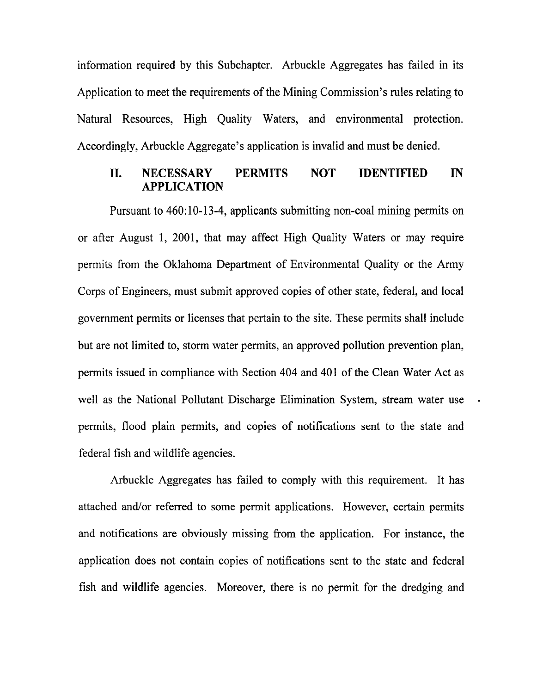information required by this Subchapter. Arbuckle Aggregates has failed in its Application to meet the requirements of the Mining Commission's rules relating to Natural Resources, High Quality Waters, and environmental protection. Accordingly, Arbuckle Aggregate's application is invalid and must be denied.

## **11. NECESSARY PERMITS NOT IDENTIFIED IN APPLICATION**

Pursuant to 460:10-13-4, applicants submitting non-coal mining permits on or after August 1, 2001, that may affect High Quality Waters or may require permits from the Oklahoma Department of Environmental Quality or the Army Corps of Engineers, must submit approved copies of other state, federal, and local government permits or licenses that pertain to the site. These permits shall include but are not limited to, storm water permits, an approved pollution prevention plan, permits issued in compliance with Section 404 and 401 of the Clean Water Act as well as the National Pollutant Discharge Elimination System, stream water use permits, flood plain permits, and copies of notifications sent to the state and federal fish and wildlife agencies.

Arbuckle Aggregates has failed to comply with this requirement. It has attached and/or referred to some permit applications. However, certain permits and notifications are obviously missing from the application. For instance, the application does not contain copies of notifications sent to the state and federal fish and wildlife agencies. Moreover, there is no permit for the dredging and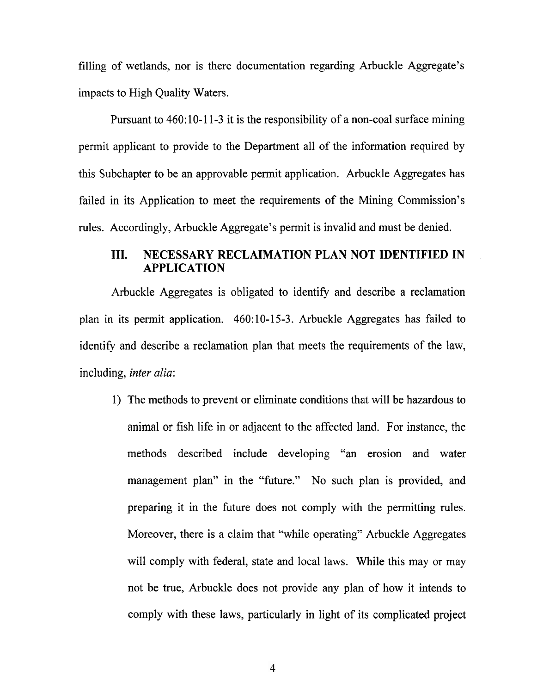filling of wetlands, nor is there documentation regarding Arbuckle Aggregate's impacts to High Quality Waters.

Pursuant to 460:10-11-3 it is the responsibility of a non-coal surface mining permit applicant to provide to the Department all of the information required by this Subchapter to be an approvable permit application. Arbuckle Aggregates has failed in its Application to meet the requirements of the Mining Commission's rules. Accordingly, Arbuckle Aggregate's permit is invalid and must be denied.

# **111. NECESSARY RECLAIMATION PLAN NOT IDENTIFIED IN** . **APPLICATION**

Arbuckle Aggregates is obligated to identify and describe a reclamation plan in its permit application. 460:10-15-3. Arbuckle Aggregates has failed to identify and describe a reclamation plan that meets the requirements of the law, including, *inter alia:* 

1) The methods to prevent or eliminate conditions that will be hazardous to animal or fish life in or adjacent to the affected land. For instance, the methods described include developing "an erosion and water management plan" in the "future." No such plan is provided, and preparing it in the future does not comply with the permitting rules. Moreover, there is a claim that "while operating" Arbuckle Aggregates will comply with federal, state and local laws. While this may or may not be true, Arbuckle does not provide any plan of how it intends to comply with these laws, particularly in light of its complicated project

 $\overline{4}$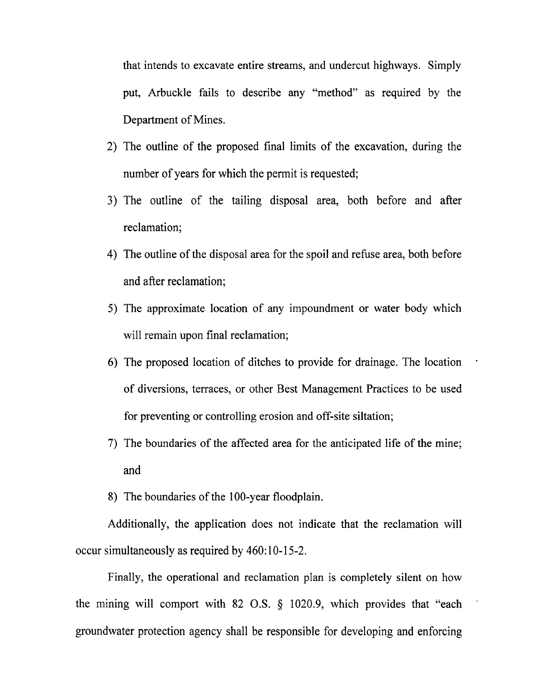that intends to excavate entire streams, and undercut highways. Simply put, Arbuckle fails to describe any "method" as required by the Department of Mines.

- 2) The outline of the proposed final limits of the excavation, during the number of years for which the permit is requested;
- **3)** The outline of the tailing disposal area, both before and after reclamation;
- 4) The outline of the disposal area for the spoil and refuse area, both before and after reclamation;
- 5) The approximate location of any impoundment or water body which will remain upon final reclamation;
- 6) The proposed location of ditches to provide for drainage. The location . of diversions, terraces, or other Best Management Practices to be used for preventing or controlling erosion and off-site siltation;
- 7) The boundaries of the affected area for the anticipated life of the mine; and
- 8) The boundaries of the 100-year floodplain.

Additionally, the application does not indicate that the reclamation will occur simultaneously as required by 460:10-15-2.

Finally, the operational and reclamation plan is completely silent on how the mining will comport with 82 O.S. § 1020.9, which provides that "each groundwater protection agency shall be responsible for developing and enforcing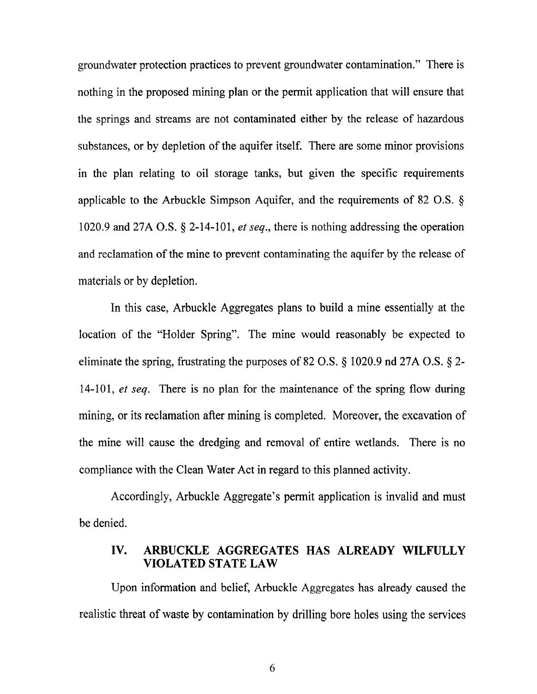groundwater protection practices to prevent groundwater contamination." There is nothing in the proposed mining plan or the permit application that will ensure that the springs and streams are not contaminated either by the release of hazardous substances, or by depletion of the aquifer itself. There are some minor provisions in the plan relating to oil storage tanks, but given the specific requirements applicable to the Arbuckle Simpson Aquifer, and the requirements of 82 O.S. **9**  1020.9 and 27A O.S.  $\S$  2-14-101, *et seq.*, there is nothing addressing the operation and reclamation of the mine to prevent contaminating the aquifer by the release of materials or by depletion.

In this case, Arbuckle Aggregates plans to build a mine essentially at the location of the "Holder Spring". The mine would reasonably be expected to eliminate the spring, frustrating the purposes of 82 O.S. **5** 1020.9 nd 27A O.S. *5* 2- 14-101, *et seq.* There is no plan for the maintenance of the spring flow during mining, or its reclamation after mining is completed. Moreover, the excavation of the mine will cause the dredging and removal of entire wetlands. There is no compliance with the Clean Water Act in regard to this planned activity.

Accordingly, Arbuckle Aggregate's permit application is invalid and must be denied.

### **IV. ARBUCKLE AGGREGATES HAS ALREADY WILFULLY VIOLATED STATE LAW**

Upon information and belief, Arbuckle Aggregates has already caused the realistic threat of waste by contamination by drilling bore holes using the services